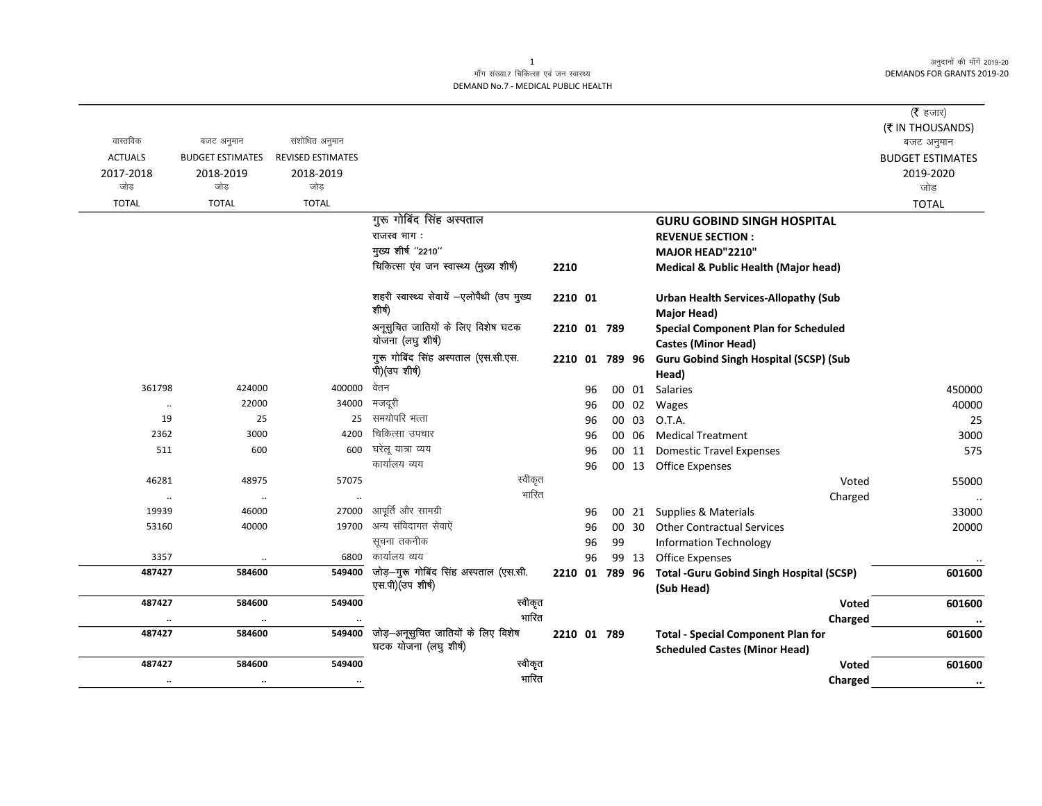अनुदानों की माँगें 2019-20 **DEMANDS FOR GRANTS 2019-20** 

## माँग संख्या.7 चिकित्सा एवं जन स्वास्थ्य DEMAND No.7 - MEDICAL PUBLIC HEALTH

|                |                         |                          |                                                            |             |    |    |       |                                                                           | ( $\bar{\tau}$ हजार)           |
|----------------|-------------------------|--------------------------|------------------------------------------------------------|-------------|----|----|-------|---------------------------------------------------------------------------|--------------------------------|
| वास्तविक       | बजट अनुमान              | संशोधित अनुमान           |                                                            |             |    |    |       |                                                                           | (₹ IN THOUSANDS)<br>बजट अनुमान |
| <b>ACTUALS</b> | <b>BUDGET ESTIMATES</b> | <b>REVISED ESTIMATES</b> |                                                            |             |    |    |       |                                                                           | <b>BUDGET ESTIMATES</b>        |
| 2017-2018      | 2018-2019               | 2018-2019                |                                                            |             |    |    |       |                                                                           | 2019-2020                      |
| जोड            | जोड                     | जोड                      |                                                            |             |    |    |       |                                                                           | जोड़                           |
| <b>TOTAL</b>   | <b>TOTAL</b>            | <b>TOTAL</b>             |                                                            |             |    |    |       |                                                                           | <b>TOTAL</b>                   |
|                |                         |                          | गुरू गोबिंद सिंह अस्पताल                                   |             |    |    |       | <b>GURU GOBIND SINGH HOSPITAL</b>                                         |                                |
|                |                         |                          | राजस्व भाग:                                                |             |    |    |       | <b>REVENUE SECTION:</b>                                                   |                                |
|                |                         |                          | मुख्य शीर्ष "2210"                                         |             |    |    |       | <b>MAJOR HEAD"2210"</b>                                                   |                                |
|                |                         |                          | चिकित्सा एंव जन स्वास्थ्य (मुख्य शीर्ष)                    | 2210        |    |    |       | <b>Medical &amp; Public Health (Major head)</b>                           |                                |
|                |                         |                          | शहरी स्वास्थ्य सेवायें -एलोपैथी (उप मुख्य<br>शीर्ष)        | 2210 01     |    |    |       | <b>Urban Health Services-Allopathy (Sub</b><br>Major Head)                |                                |
|                |                         |                          | अनूसुचित जातियों के लिए विशेष घटक<br>योजना (लघु शीर्ष)     | 2210 01 789 |    |    |       | <b>Special Component Plan for Scheduled</b><br><b>Castes (Minor Head)</b> |                                |
|                |                         |                          | गुरू गोबिंद सिंह अस्पताल (एस.सी.एस.                        |             |    |    |       | 2210 01 789 96 Guru Gobind Singh Hospital (SCSP) (Sub                     |                                |
|                |                         |                          | पी) (उप शीर्ष)                                             |             |    |    |       | Head)                                                                     |                                |
| 361798         | 424000                  | 400000                   | वेतन                                                       |             | 96 |    | 00 01 | Salaries                                                                  | 450000                         |
| $\cdot\cdot$   | 22000                   | 34000                    | मजदूरी                                                     |             | 96 |    | 00 02 | Wages                                                                     | 40000                          |
| 19             | 25                      | 25                       | समयोपरि भत्ता                                              |             | 96 |    | 00 03 | O.T.A.                                                                    | 25                             |
| 2362           | 3000                    | 4200                     | चिकित्सा उपचार                                             |             | 96 |    | 00 06 | <b>Medical Treatment</b>                                                  | 3000                           |
| 511            | 600                     | 600                      | घरेलू यात्रा व्यय                                          |             | 96 |    | 00 11 | <b>Domestic Travel Expenses</b>                                           | 575                            |
|                |                         |                          | कार्यालय व्यय                                              |             | 96 |    |       | 00 13 Office Expenses                                                     |                                |
| 46281          | 48975                   | 57075                    | स्वीकृत                                                    |             |    |    |       | Voted                                                                     | 55000                          |
| $\cdot\cdot$   | $\cdot\cdot$            |                          | भारित                                                      |             |    |    |       | Charged                                                                   | $\ddotsc$                      |
| 19939          | 46000                   | 27000                    | आपूर्ति और सामग्री                                         |             | 96 |    |       | 00 21 Supplies & Materials                                                | 33000                          |
| 53160          | 40000                   |                          | 19700 अन्य संविदागत सेवाऐं                                 |             | 96 |    | 00 30 | <b>Other Contractual Services</b>                                         | 20000                          |
|                |                         |                          | सूचना तकनीक                                                |             | 96 | 99 |       | <b>Information Technology</b>                                             |                                |
| 3357           | $\ldots$                | 6800                     | कार्यालय व्यय                                              |             | 96 |    | 99 13 | Office Expenses                                                           |                                |
| 487427         | 584600                  | 549400                   | जोड़-गुरू गोबिंद सिंह अस्पताल (एस.सी.<br>एस.पी) (उप शीर्ष) |             |    |    |       | 2210 01 789 96 Total - Guru Gobind Singh Hospital (SCSP)<br>(Sub Head)    | 601600                         |
| 487427         | 584600                  | 549400                   | स्वीकृत                                                    |             |    |    |       | Voted                                                                     | 601600                         |
|                | $\ddotsc$               |                          | भारित                                                      |             |    |    |       | Charged                                                                   | $\ddotsc$                      |
| 487427         | 584600                  | 549400                   | जोड़—अनूसुचित जातियों के लिए विशेष                         | 2210 01 789 |    |    |       | <b>Total - Special Component Plan for</b>                                 | 601600                         |
|                |                         |                          | घटक योजना (लघु शीर्ष)                                      |             |    |    |       | <b>Scheduled Castes (Minor Head)</b>                                      |                                |
| 487427         | 584600                  | 549400                   | स्वीकृत                                                    |             |    |    |       | <b>Voted</b>                                                              | 601600                         |
| $\ddotsc$      | $\ddotsc$               | $\cdot\cdot$             | भारित                                                      |             |    |    |       | Charged                                                                   | $\cdot\cdot$                   |

 $\mathbf{1}$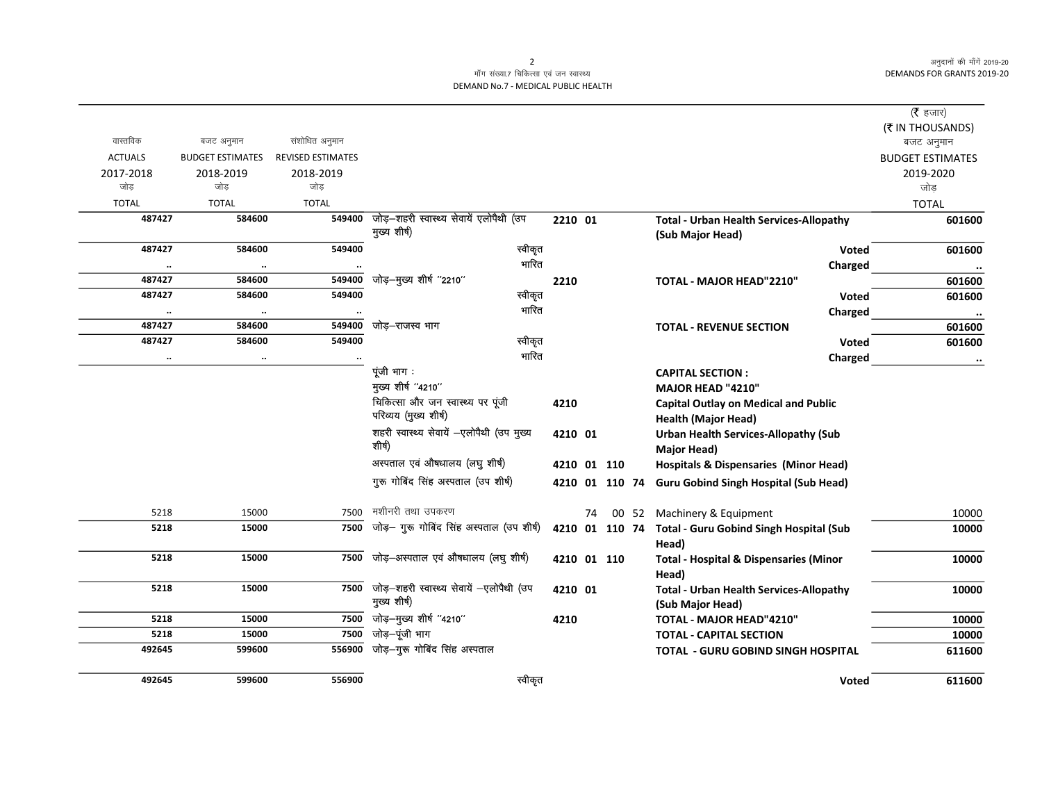अनुदानों की माँगें 2019-20 DEMANDS FOR GRANTS 2019-20

## माँग संख्या.7 चिकित्सा एवं जन स्वास्थ्य DEMAND No.7 - MEDICAL PUBLIC HEALTH

|                |                         |                          |                                                            |         |    |                |                                                                           | ( $\bar{\tau}$ हजार)    |
|----------------|-------------------------|--------------------------|------------------------------------------------------------|---------|----|----------------|---------------------------------------------------------------------------|-------------------------|
|                |                         |                          |                                                            |         |    |                |                                                                           | (₹ IN THOUSANDS)        |
| वास्तविक       | बजट अनुमान              | संशोधित अनुमान           |                                                            |         |    |                |                                                                           | बजट अनुमान              |
| <b>ACTUALS</b> | <b>BUDGET ESTIMATES</b> | <b>REVISED ESTIMATES</b> |                                                            |         |    |                |                                                                           | <b>BUDGET ESTIMATES</b> |
| 2017-2018      | 2018-2019               | 2018-2019                |                                                            |         |    |                |                                                                           | 2019-2020               |
| जोड            | जोड                     | जोड                      |                                                            |         |    |                |                                                                           | जोड़                    |
| <b>TOTAL</b>   | <b>TOTAL</b>            | <b>TOTAL</b>             |                                                            |         |    |                |                                                                           | <b>TOTAL</b>            |
| 487427         | 584600                  | 549400                   | जोड़-शहरी स्वास्थ्य सेवायें एलोपैथी (उप                    | 2210 01 |    |                | <b>Total - Urban Health Services-Allopathy</b>                            | 601600                  |
|                |                         |                          | मुख्य शीर्ष)                                               |         |    |                | (Sub Major Head)                                                          |                         |
| 487427         | 584600                  | 549400                   | स्वीकृत                                                    |         |    |                | Voted                                                                     | 601600                  |
| $\cdot\cdot$   | $\cdots$                |                          | भारित                                                      |         |    |                | Charged                                                                   |                         |
| 487427         | 584600                  | 549400                   | जोड़-मुख्य शीर्ष "2210"                                    | 2210    |    |                | TOTAL - MAJOR HEAD"2210"                                                  | 601600                  |
| 487427         | 584600                  | 549400                   | स्वीकृत                                                    |         |    |                | <b>Voted</b>                                                              | 601600                  |
| $\ddotsc$      | $\ddotsc$               |                          | भारित                                                      |         |    |                | Charged                                                                   | $\cdots$                |
| 487427         | 584600                  | 549400                   | जोड–राजस्व भाग                                             |         |    |                | <b>TOTAL - REVENUE SECTION</b>                                            | 601600                  |
| 487427         | 584600                  | 549400                   | स्वीकृत                                                    |         |    |                | Voted                                                                     | 601600                  |
|                | $\ddotsc$               |                          | भारित                                                      |         |    |                | Charged                                                                   | $\cdots$                |
|                |                         |                          | पूंजी भाग :                                                |         |    |                | <b>CAPITAL SECTION:</b>                                                   |                         |
|                |                         |                          | मुख्य शीर्ष "4210"                                         |         |    |                | MAJOR HEAD "4210"                                                         |                         |
|                |                         |                          | चिकित्सा और जन स्वास्थ्य पर पूंजी<br>परिव्यय (मुख्य शीर्ष) | 4210    |    |                | <b>Capital Outlay on Medical and Public</b><br><b>Health (Major Head)</b> |                         |
|                |                         |                          | शहरी स्वास्थ्य सेवायें -एलोपैथी (उप मुख्य                  | 4210 01 |    |                | <b>Urban Health Services-Allopathy (Sub</b>                               |                         |
|                |                         |                          | शीर्ष)                                                     |         |    |                | <b>Major Head)</b>                                                        |                         |
|                |                         |                          | अस्पताल एवं औषधालय (लघु शीर्ष)                             |         |    | 4210 01 110    | <b>Hospitals &amp; Dispensaries (Minor Head)</b>                          |                         |
|                |                         |                          | गुरू गोबिंद सिंह अस्पताल (उप शीर्ष)                        |         |    | 4210 01 110 74 | <b>Guru Gobind Singh Hospital (Sub Head)</b>                              |                         |
| 5218           | 15000                   | 7500                     | मशीनरी तथा उपकरण                                           |         | 74 |                | 00 52 Machinery & Equipment                                               | 10000                   |
| 5218           | 15000                   | 7500                     | जोड़- गुरू गोबिंद सिंह अस्पताल (उप शीर्ष)                  |         |    |                | 4210 01 110 74 Total - Guru Gobind Singh Hospital (Sub<br>Head)           | 10000                   |
| 5218           | 15000                   | 7500                     | जोड़-अस्पताल एवं औषधालय (लघु शीर्ष)                        |         |    | 4210 01 110    | <b>Total - Hospital &amp; Dispensaries (Minor</b><br>Head)                | 10000                   |
| 5218           | 15000                   | 7500                     | जोड़-शहरी स्वास्थ्य सेवायें -एलोपैथी (उप<br>मुख्य शीर्ष)   | 4210 01 |    |                | <b>Total - Urban Health Services-Allopathy</b><br>(Sub Major Head)        | 10000                   |
| 5218           | 15000                   | 7500                     | जोड़—मुख्य शीर्ष "4210"                                    | 4210    |    |                | TOTAL - MAJOR HEAD"4210"                                                  | 10000                   |
| 5218           | 15000                   | 7500                     | जोड़–पूंजी भाग                                             |         |    |                | <b>TOTAL - CAPITAL SECTION</b>                                            | 10000                   |
| 492645         | 599600                  | 556900                   | जोड़-गुरू गोबिंद सिंह अस्पताल                              |         |    |                | <b>TOTAL - GURU GOBIND SINGH HOSPITAL</b>                                 | 611600                  |
| 492645         | 599600                  | 556900                   | स्वीकृत                                                    |         |    |                | <b>Voted</b>                                                              | 611600                  |

2